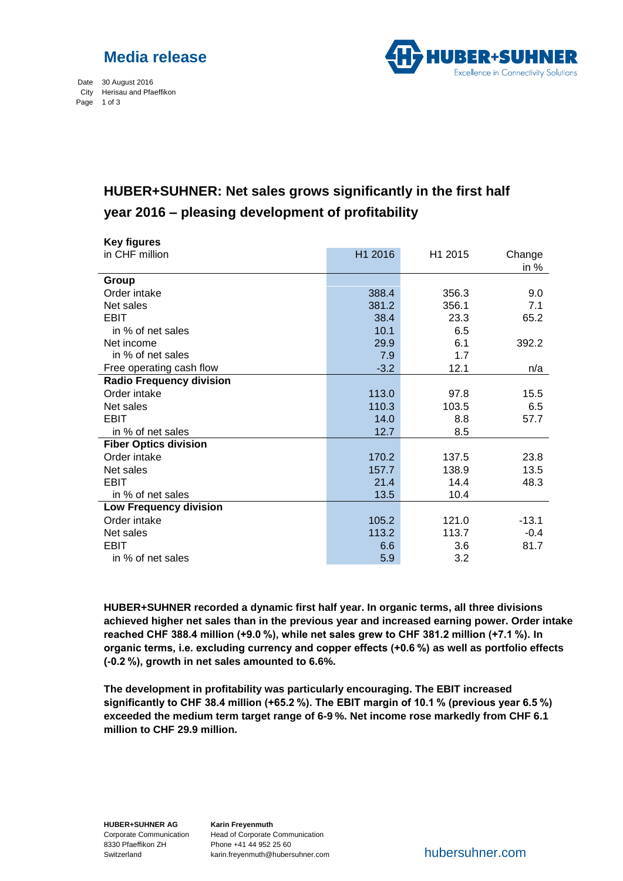



Date 30 August 2016 City Herisau and Pfaeffikon Page 1 of 3

## **HUBER+SUHNER: Net sales grows significantly in the first half year 2016 – pleasing development of profitability** Seite 1 von 2

| <b>Key figures</b>              |         |         |         |
|---------------------------------|---------|---------|---------|
| in CHF million                  | H1 2016 | H1 2015 | Change  |
|                                 |         |         | in $%$  |
| Group                           |         |         |         |
| Order intake                    | 388.4   | 356.3   | 9.0     |
| Net sales                       | 381.2   | 356.1   | 7.1     |
| <b>EBIT</b>                     | 38.4    | 23.3    | 65.2    |
| in % of net sales               | 10.1    | 6.5     |         |
| Net income                      | 29.9    | 6.1     | 392.2   |
| in % of net sales               | 7.9     | 1.7     |         |
| Free operating cash flow        | $-3.2$  | 12.1    | n/a     |
| <b>Radio Frequency division</b> |         |         |         |
| Order intake                    | 113.0   | 97.8    | 15.5    |
| Net sales                       | 110.3   | 103.5   | 6.5     |
| EBIT                            | 14.0    | 8.8     | 57.7    |
| in % of net sales               | 12.7    | 8.5     |         |
| <b>Fiber Optics division</b>    |         |         |         |
| Order intake                    | 170.2   | 137.5   | 23.8    |
| Net sales                       | 157.7   | 138.9   | 13.5    |
| <b>EBIT</b>                     | 21.4    | 14.4    | 48.3    |
| in % of net sales               | 13.5    | 10.4    |         |
| <b>Low Frequency division</b>   |         |         |         |
| Order intake                    | 105.2   | 121.0   | $-13.1$ |
| Net sales                       | 113.2   | 113.7   | $-0.4$  |
| <b>EBIT</b>                     | 6.6     | 3.6     | 81.7    |
| in % of net sales               | 5.9     | 3.2     |         |

**HUBER+SUHNER recorded a dynamic first half year. In organic terms, all three divisions achieved higher net sales than in the previous year and increased earning power. Order intake reached CHF 388.4 million (+9.0 %), while net sales grew to CHF 381.2 million (+7.1 %). In organic terms, i.e. excluding currency and copper effects (+0.6 %) as well as portfolio effects (-0.2 %), growth in net sales amounted to 6.6%.**

**The development in profitability was particularly encouraging. The EBIT increased significantly to CHF 38.4 million (+65.2 %). The EBIT margin of 10.1 % (previous year 6.5 %) exceeded the medium term target range of 6-9 %. Net income rose markedly from CHF 6.1 million to CHF 29.9 million.**

**HUBER+SUHNER AG** Corporate Communication 8330 Pfaeffikon ZH Switzerland

**Karin Freyenmuth** Head of Corporate Communication Phone +41 44 952 25 60 karin.freyenmuth@hubersuhner.com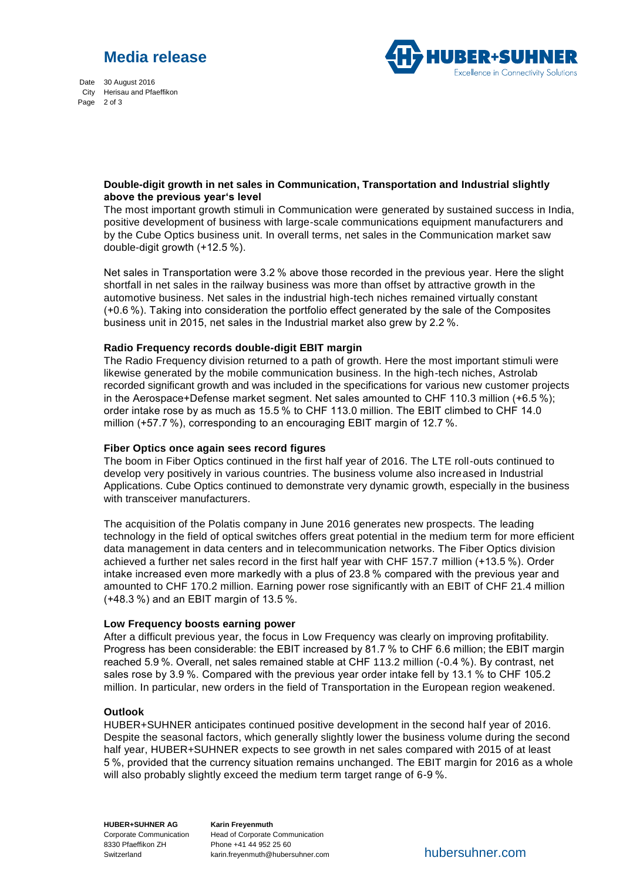# **Media release**

Date 30 August 2016 City Herisau and Pfaeffikon Page 2 of 3



### **Double-digit growth in net sales in Communication, Transportation and Industrial slightly above the previous year's level**

The most important growth stimuli in Communication were generated by sustained success in India, positive development of business with large-scale communications equipment manufacturers and by the Cube Optics business unit. In overall terms, net sales in the Communication market saw double-digit growth (+12.5 %).

Net sales in Transportation were 3.2 % above those recorded in the previous year. Here the slight shortfall in net sales in the railway business was more than offset by attractive growth in the automotive business. Net sales in the industrial high-tech niches remained virtually constant (+0.6 %). Taking into consideration the portfolio effect generated by the sale of the Composites business unit in 2015, net sales in the Industrial market also grew by 2.2 %.

#### **Radio Frequency records double-digit EBIT margin**

The Radio Frequency division returned to a path of growth. Here the most important stimuli were likewise generated by the mobile communication business. In the high-tech niches, Astrolab recorded significant growth and was included in the specifications for various new customer projects in the Aerospace+Defense market segment. Net sales amounted to CHF 110.3 million (+6.5 %); order intake rose by as much as 15.5 % to CHF 113.0 million. The EBIT climbed to CHF 14.0 million (+57.7 %), corresponding to an encouraging EBIT margin of 12.7 %.

#### **Fiber Optics once again sees record figures**

The boom in Fiber Optics continued in the first half year of 2016. The LTE roll-outs continued to develop very positively in various countries. The business volume also increased in Industrial Applications. Cube Optics continued to demonstrate very dynamic growth, especially in the business with transceiver manufacturers.

The acquisition of the Polatis company in June 2016 generates new prospects. The leading technology in the field of optical switches offers great potential in the medium term for more efficient data management in data centers and in telecommunication networks. The Fiber Optics division achieved a further net sales record in the first half year with CHF 157.7 million (+13.5 %). Order intake increased even more markedly with a plus of 23.8 % compared with the previous year and amounted to CHF 170.2 million. Earning power rose significantly with an EBIT of CHF 21.4 million (+48.3 %) and an EBIT margin of 13.5 %.

#### **Low Frequency boosts earning power**

After a difficult previous year, the focus in Low Frequency was clearly on improving profitability. Progress has been considerable: the EBIT increased by 81.7 % to CHF 6.6 million; the EBIT margin reached 5.9 %. Overall, net sales remained stable at CHF 113.2 million (-0.4 %). By contrast, net sales rose by 3.9 %. Compared with the previous year order intake fell by 13.1 % to CHF 105.2 million. In particular, new orders in the field of Transportation in the European region weakened.

#### **Outlook**

HUBER+SUHNER anticipates continued positive development in the second half year of 2016. Despite the seasonal factors, which generally slightly lower the business volume during the second half year, HUBER+SUHNER expects to see growth in net sales compared with 2015 of at least 5 %, provided that the currency situation remains unchanged. The EBIT margin for 2016 as a whole will also probably slightly exceed the medium term target range of 6-9 %.

**HUBER+SUHNER AG** Corporate Communication 8330 Pfaeffikon ZH Switzerland

**Karin Freyenmuth** Head of Corporate Communication Phone +41 44 952 25 60 karin.freyenmuth@hubersuhner.com hubersuhner.com hubersuhner.com